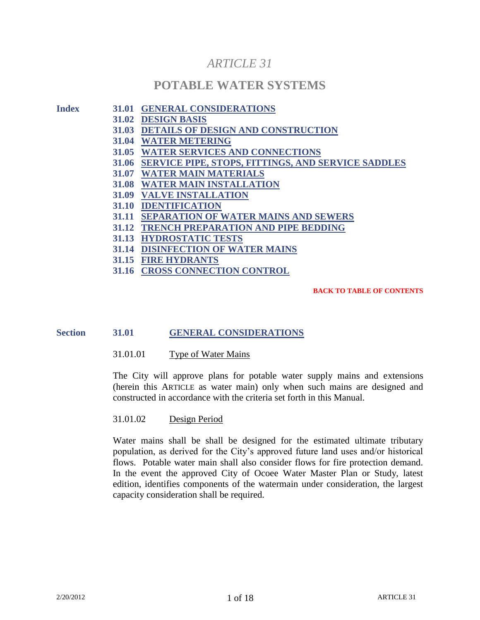# *ARTICLE 31*

# **POTABLE WATER SYSTEMS**

#### **Index 31.01 GENERAL CONSIDERATIONS**

- **31.02 DESIGN BASIS**
- **31.03 DETAILS OF DESIGN AND CONSTRUCTION**
- **31.04 WATER METERING**
- **31.05 WATER SERVICES AND CONNECTIONS**
- **31.06 SERVICE PIPE, STOPS, FITTINGS, AND SERVICE SADDLES**
- **31.07 WATER MAIN MATERIALS**
- **31.08 WATER MAIN INSTALLATION**
- **31.09 VALVE INSTALLATION**
- **31.10 IDENTIFICATION**
- **31.11 SEPARATION OF WATER MAINS AND SEWERS**
- **31.12 TRENCH PREPARATION AND PIPE BEDDING**
- **31.13 HYDROSTATIC TESTS**
- **31.14 DISINFECTION OF WATER MAINS**
- **31.15 FIRE HYDRANTS**
- **31.16 CROSS CONNECTION CONTROL**

#### **BACK TO TABLE OF CONTENTS**

# **Section 31.01 GENERAL CONSIDERATIONS**

31.01.01 Type of Water Mains

The City will approve plans for potable water supply mains and extensions (herein this ARTICLE as water main) only when such mains are designed and constructed in accordance with the criteria set forth in this Manual.

## 31.01.02 Design Period

Water mains shall be shall be designed for the estimated ultimate tributary population, as derived for the City's approved future land uses and/or historical flows. Potable water main shall also consider flows for fire protection demand. In the event the approved City of Ocoee Water Master Plan or Study, latest edition, identifies components of the watermain under consideration, the largest capacity consideration shall be required.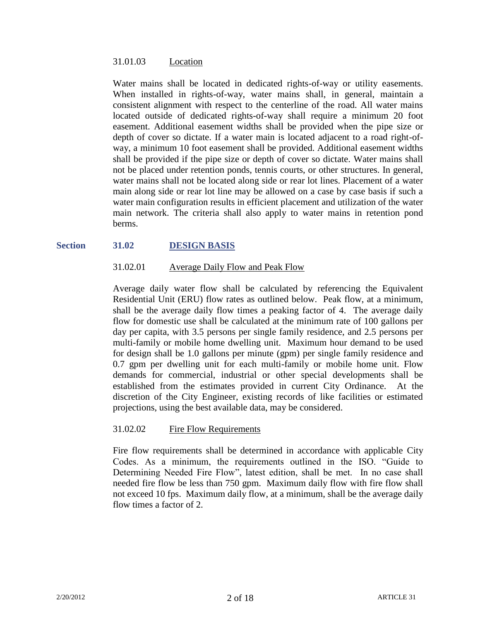#### 31.01.03 Location

Water mains shall be located in dedicated rights-of-way or utility easements. When installed in rights-of-way, water mains shall, in general, maintain a consistent alignment with respect to the centerline of the road. All water mains located outside of dedicated rights-of-way shall require a minimum 20 foot easement. Additional easement widths shall be provided when the pipe size or depth of cover so dictate. If a water main is located adjacent to a road right-ofway, a minimum 10 foot easement shall be provided. Additional easement widths shall be provided if the pipe size or depth of cover so dictate. Water mains shall not be placed under retention ponds, tennis courts, or other structures. In general, water mains shall not be located along side or rear lot lines. Placement of a water main along side or rear lot line may be allowed on a case by case basis if such a water main configuration results in efficient placement and utilization of the water main network. The criteria shall also apply to water mains in retention pond berms.

# **Section 31.02 DESIGN BASIS**

# 31.02.01 Average Daily Flow and Peak Flow

Average daily water flow shall be calculated by referencing the Equivalent Residential Unit (ERU) flow rates as outlined below. Peak flow, at a minimum, shall be the average daily flow times a peaking factor of 4. The average daily flow for domestic use shall be calculated at the minimum rate of 100 gallons per day per capita, with 3.5 persons per single family residence, and 2.5 persons per multi-family or mobile home dwelling unit. Maximum hour demand to be used for design shall be 1.0 gallons per minute (gpm) per single family residence and 0.7 gpm per dwelling unit for each multi-family or mobile home unit. Flow demands for commercial, industrial or other special developments shall be established from the estimates provided in current City Ordinance. At the discretion of the City Engineer, existing records of like facilities or estimated projections, using the best available data, may be considered.

# 31.02.02 Fire Flow Requirements

Fire flow requirements shall be determined in accordance with applicable City Codes. As a minimum, the requirements outlined in the ISO. "Guide to Determining Needed Fire Flow", latest edition, shall be met. In no case shall needed fire flow be less than 750 gpm. Maximum daily flow with fire flow shall not exceed 10 fps. Maximum daily flow, at a minimum, shall be the average daily flow times a factor of 2.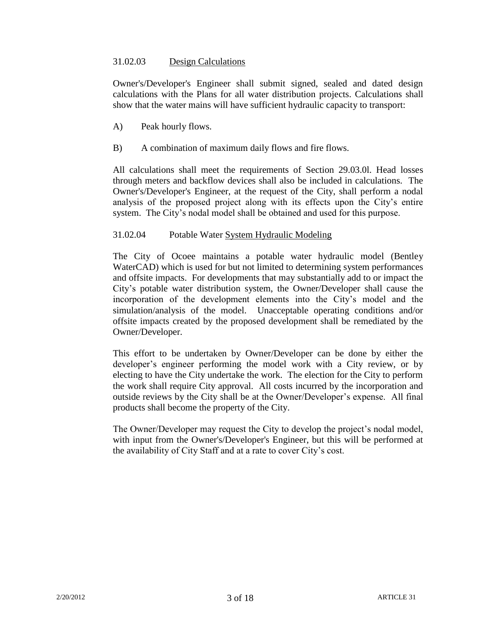# 31.02.03 Design Calculations

Owner's/Developer's Engineer shall submit signed, sealed and dated design calculations with the Plans for all water distribution projects. Calculations shall show that the water mains will have sufficient hydraulic capacity to transport:

- A) Peak hourly flows.
- B) A combination of maximum daily flows and fire flows.

All calculations shall meet the requirements of Section 29.03.0l. Head losses through meters and backflow devices shall also be included in calculations. The Owner's/Developer's Engineer, at the request of the City, shall perform a nodal analysis of the proposed project along with its effects upon the City's entire system. The City's nodal model shall be obtained and used for this purpose.

# 31.02.04 Potable Water System Hydraulic Modeling

The City of Ocoee maintains a potable water hydraulic model (Bentley WaterCAD) which is used for but not limited to determining system performances and offsite impacts. For developments that may substantially add to or impact the City's potable water distribution system, the Owner/Developer shall cause the incorporation of the development elements into the City's model and the simulation/analysis of the model. Unacceptable operating conditions and/or offsite impacts created by the proposed development shall be remediated by the Owner/Developer.

This effort to be undertaken by Owner/Developer can be done by either the developer's engineer performing the model work with a City review, or by electing to have the City undertake the work. The election for the City to perform the work shall require City approval. All costs incurred by the incorporation and outside reviews by the City shall be at the Owner/Developer's expense. All final products shall become the property of the City.

The Owner/Developer may request the City to develop the project's nodal model, with input from the Owner's/Developer's Engineer, but this will be performed at the availability of City Staff and at a rate to cover City's cost.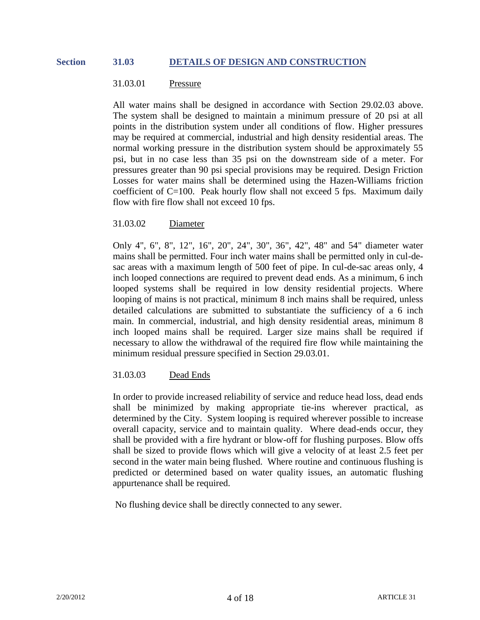#### **Section 31.03 DETAILS OF DESIGN AND CONSTRUCTION**

#### 31.03.01 Pressure

All water mains shall be designed in accordance with Section 29.02.03 above. The system shall be designed to maintain a minimum pressure of 20 psi at all points in the distribution system under all conditions of flow. Higher pressures may be required at commercial, industrial and high density residential areas. The normal working pressure in the distribution system should be approximately 55 psi, but in no case less than 35 psi on the downstream side of a meter. For pressures greater than 90 psi special provisions may be required. Design Friction Losses for water mains shall be determined using the Hazen-Williams friction coefficient of C=100. Peak hourly flow shall not exceed 5 fps. Maximum daily flow with fire flow shall not exceed 10 fps.

# 31.03.02 Diameter

Only 4", 6", 8", 12", 16", 20", 24", 30", 36", 42", 48" and 54" diameter water mains shall be permitted. Four inch water mains shall be permitted only in cul-desac areas with a maximum length of 500 feet of pipe. In cul-de-sac areas only, 4 inch looped connections are required to prevent dead ends. As a minimum, 6 inch looped systems shall be required in low density residential projects. Where looping of mains is not practical, minimum 8 inch mains shall be required, unless detailed calculations are submitted to substantiate the sufficiency of a 6 inch main. In commercial, industrial, and high density residential areas, minimum 8 inch looped mains shall be required. Larger size mains shall be required if necessary to allow the withdrawal of the required fire flow while maintaining the minimum residual pressure specified in Section 29.03.01.

# 31.03.03 Dead Ends

In order to provide increased reliability of service and reduce head loss, dead ends shall be minimized by making appropriate tie-ins wherever practical, as determined by the City. System looping is required wherever possible to increase overall capacity, service and to maintain quality. Where dead-ends occur, they shall be provided with a fire hydrant or blow-off for flushing purposes. Blow offs shall be sized to provide flows which will give a velocity of at least 2.5 feet per second in the water main being flushed. Where routine and continuous flushing is predicted or determined based on water quality issues, an automatic flushing appurtenance shall be required.

No flushing device shall be directly connected to any sewer.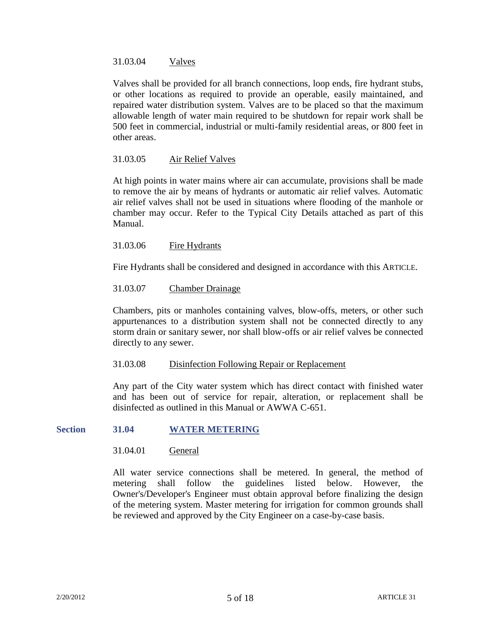#### 31.03.04 Valves

Valves shall be provided for all branch connections, loop ends, fire hydrant stubs, or other locations as required to provide an operable, easily maintained, and repaired water distribution system. Valves are to be placed so that the maximum allowable length of water main required to be shutdown for repair work shall be 500 feet in commercial, industrial or multi-family residential areas, or 800 feet in other areas.

# 31.03.05 Air Relief Valves

At high points in water mains where air can accumulate, provisions shall be made to remove the air by means of hydrants or automatic air relief valves. Automatic air relief valves shall not be used in situations where flooding of the manhole or chamber may occur. Refer to the Typical City Details attached as part of this Manual.

# 31.03.06 Fire Hydrants

Fire Hydrants shall be considered and designed in accordance with this ARTICLE.

# 31.03.07 Chamber Drainage

Chambers, pits or manholes containing valves, blow-offs, meters, or other such appurtenances to a distribution system shall not be connected directly to any storm drain or sanitary sewer, nor shall blow-offs or air relief valves be connected directly to any sewer.

# 31.03.08 Disinfection Following Repair or Replacement

Any part of the City water system which has direct contact with finished water and has been out of service for repair, alteration, or replacement shall be disinfected as outlined in this Manual or AWWA C-651.

# **Section 31.04 WATER METERING**

# 31.04.01 General

All water service connections shall be metered. In general, the method of metering shall follow the guidelines listed below. However, the Owner's/Developer's Engineer must obtain approval before finalizing the design of the metering system. Master metering for irrigation for common grounds shall be reviewed and approved by the City Engineer on a case-by-case basis.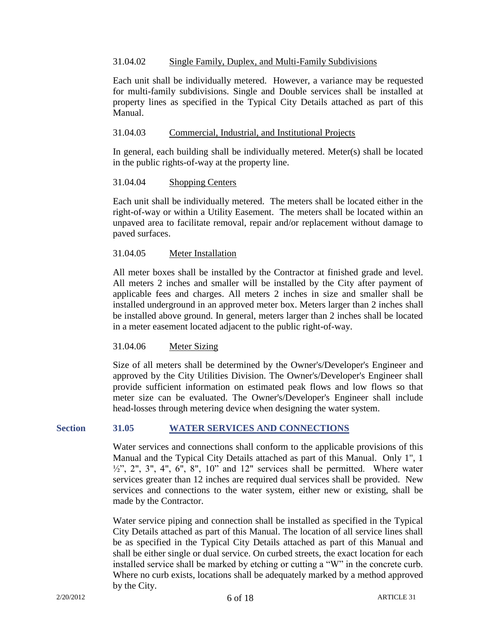## 31.04.02 Single Family, Duplex, and Multi-Family Subdivisions

Each unit shall be individually metered. However, a variance may be requested for multi-family subdivisions. Single and Double services shall be installed at property lines as specified in the Typical City Details attached as part of this Manual.

#### 31.04.03 Commercial, Industrial, and Institutional Projects

In general, each building shall be individually metered. Meter(s) shall be located in the public rights-of-way at the property line.

#### 31.04.04 Shopping Centers

Each unit shall be individually metered. The meters shall be located either in the right-of-way or within a Utility Easement. The meters shall be located within an unpaved area to facilitate removal, repair and/or replacement without damage to paved surfaces.

#### 31.04.05 Meter Installation

All meter boxes shall be installed by the Contractor at finished grade and level. All meters 2 inches and smaller will be installed by the City after payment of applicable fees and charges. All meters 2 inches in size and smaller shall be installed underground in an approved meter box. Meters larger than 2 inches shall be installed above ground. In general, meters larger than 2 inches shall be located in a meter easement located adjacent to the public right-of-way.

# 31.04.06 Meter Sizing

Size of all meters shall be determined by the Owner's/Developer's Engineer and approved by the City Utilities Division. The Owner's/Developer's Engineer shall provide sufficient information on estimated peak flows and low flows so that meter size can be evaluated. The Owner's/Developer's Engineer shall include head-losses through metering device when designing the water system.

# **Section 31.05 WATER SERVICES AND CONNECTIONS**

Water services and connections shall conform to the applicable provisions of this Manual and the Typical City Details attached as part of this Manual. Only 1", 1  $\frac{1}{2}$ , 2", 3", 4", 6", 8", 10" and 12" services shall be permitted. Where water services greater than 12 inches are required dual services shall be provided. New services and connections to the water system, either new or existing, shall be made by the Contractor.

Water service piping and connection shall be installed as specified in the Typical City Details attached as part of this Manual. The location of all service lines shall be as specified in the Typical City Details attached as part of this Manual and shall be either single or dual service. On curbed streets, the exact location for each installed service shall be marked by etching or cutting a "W" in the concrete curb. Where no curb exists, locations shall be adequately marked by a method approved by the City.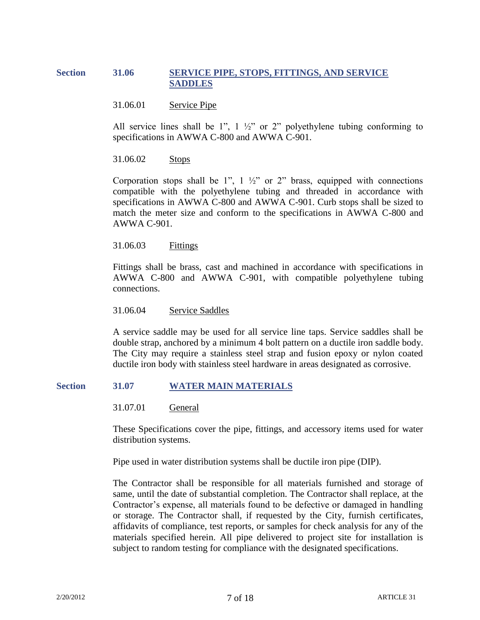# **Section 31.06 SERVICE PIPE, STOPS, FITTINGS, AND SERVICE SADDLES**

#### 31.06.01 Service Pipe

All service lines shall be 1",  $1\frac{1}{2}$ " or 2" polyethylene tubing conforming to specifications in AWWA C-800 and AWWA C-901.

## 31.06.02 Stops

Corporation stops shall be 1",  $1 \frac{1}{2}$ " or 2" brass, equipped with connections compatible with the polyethylene tubing and threaded in accordance with specifications in AWWA C-800 and AWWA C-901. Curb stops shall be sized to match the meter size and conform to the specifications in AWWA C-800 and AWWA C-901.

#### 31.06.03 Fittings

Fittings shall be brass, cast and machined in accordance with specifications in AWWA C-800 and AWWA C-901, with compatible polyethylene tubing connections.

31.06.04 Service Saddles

A service saddle may be used for all service line taps. Service saddles shall be double strap, anchored by a minimum 4 bolt pattern on a ductile iron saddle body. The City may require a stainless steel strap and fusion epoxy or nylon coated ductile iron body with stainless steel hardware in areas designated as corrosive.

#### **Section 31.07 WATER MAIN MATERIALS**

31.07.01 General

These Specifications cover the pipe, fittings, and accessory items used for water distribution systems.

Pipe used in water distribution systems shall be ductile iron pipe (DIP).

The Contractor shall be responsible for all materials furnished and storage of same, until the date of substantial completion. The Contractor shall replace, at the Contractor's expense, all materials found to be defective or damaged in handling or storage. The Contractor shall, if requested by the City, furnish certificates, affidavits of compliance, test reports, or samples for check analysis for any of the materials specified herein. All pipe delivered to project site for installation is subject to random testing for compliance with the designated specifications.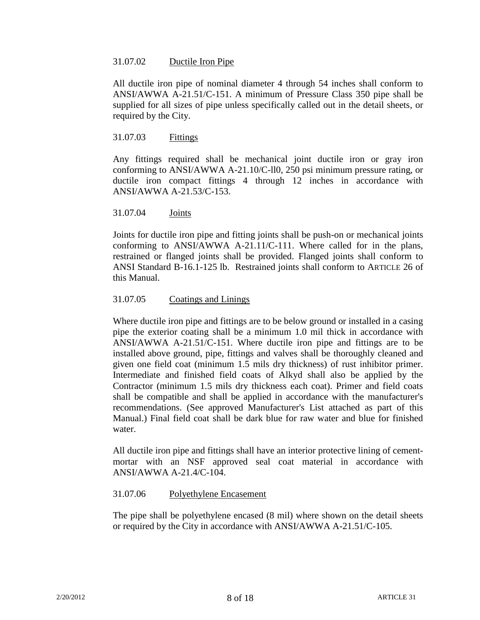# 31.07.02 Ductile Iron Pipe

All ductile iron pipe of nominal diameter 4 through 54 inches shall conform to ANSI/AWWA A-21.51/C-151. A minimum of Pressure Class 350 pipe shall be supplied for all sizes of pipe unless specifically called out in the detail sheets, or required by the City.

#### 31.07.03 Fittings

Any fittings required shall be mechanical joint ductile iron or gray iron conforming to ANSI/AWWA A-21.10/C-ll0, 250 psi minimum pressure rating, or ductile iron compact fittings 4 through 12 inches in accordance with ANSI/AWWA A-21.53/C-153.

# 31.07.04 Joints

Joints for ductile iron pipe and fitting joints shall be push-on or mechanical joints conforming to ANSI/AWWA A-21.11/C-111. Where called for in the plans, restrained or flanged joints shall be provided. Flanged joints shall conform to ANSI Standard B-16.1-125 lb. Restrained joints shall conform to ARTICLE 26 of this Manual.

# 31.07.05 Coatings and Linings

Where ductile iron pipe and fittings are to be below ground or installed in a casing pipe the exterior coating shall be a minimum 1.0 mil thick in accordance with ANSI/AWWA A-21.51/C-151. Where ductile iron pipe and fittings are to be installed above ground, pipe, fittings and valves shall be thoroughly cleaned and given one field coat (minimum 1.5 mils dry thickness) of rust inhibitor primer. Intermediate and finished field coats of Alkyd shall also be applied by the Contractor (minimum 1.5 mils dry thickness each coat). Primer and field coats shall be compatible and shall be applied in accordance with the manufacturer's recommendations. (See approved Manufacturer's List attached as part of this Manual.) Final field coat shall be dark blue for raw water and blue for finished water.

All ductile iron pipe and fittings shall have an interior protective lining of cementmortar with an NSF approved seal coat material in accordance with ANSI/AWWA A-21.4/C-104.

# 31.07.06 Polyethylene Encasement

The pipe shall be polyethylene encased (8 mil) where shown on the detail sheets or required by the City in accordance with ANSI/AWWA A-21.51/C-105.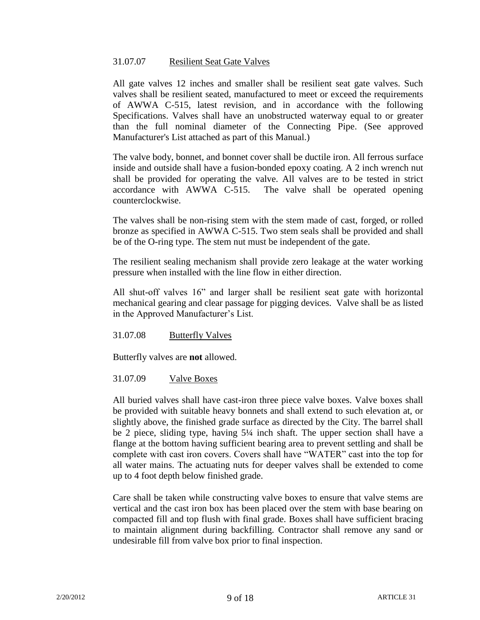#### 31.07.07 Resilient Seat Gate Valves

All gate valves 12 inches and smaller shall be resilient seat gate valves. Such valves shall be resilient seated, manufactured to meet or exceed the requirements of AWWA C-515, latest revision, and in accordance with the following Specifications. Valves shall have an unobstructed waterway equal to or greater than the full nominal diameter of the Connecting Pipe. (See approved Manufacturer's List attached as part of this Manual.)

The valve body, bonnet, and bonnet cover shall be ductile iron. All ferrous surface inside and outside shall have a fusion-bonded epoxy coating. A 2 inch wrench nut shall be provided for operating the valve. All valves are to be tested in strict accordance with AWWA C-515. The valve shall be operated opening counterclockwise.

The valves shall be non-rising stem with the stem made of cast, forged, or rolled bronze as specified in AWWA C-515. Two stem seals shall be provided and shall be of the O-ring type. The stem nut must be independent of the gate.

The resilient sealing mechanism shall provide zero leakage at the water working pressure when installed with the line flow in either direction.

All shut-off valves 16" and larger shall be resilient seat gate with horizontal mechanical gearing and clear passage for pigging devices. Valve shall be as listed in the Approved Manufacturer's List.

31.07.08 Butterfly Valves

Butterfly valves are **not** allowed.

# 31.07.09 Valve Boxes

All buried valves shall have cast-iron three piece valve boxes. Valve boxes shall be provided with suitable heavy bonnets and shall extend to such elevation at, or slightly above, the finished grade surface as directed by the City. The barrel shall be 2 piece, sliding type, having 5¼ inch shaft. The upper section shall have a flange at the bottom having sufficient bearing area to prevent settling and shall be complete with cast iron covers. Covers shall have "WATER" cast into the top for all water mains. The actuating nuts for deeper valves shall be extended to come up to 4 foot depth below finished grade.

Care shall be taken while constructing valve boxes to ensure that valve stems are vertical and the cast iron box has been placed over the stem with base bearing on compacted fill and top flush with final grade. Boxes shall have sufficient bracing to maintain alignment during backfilling. Contractor shall remove any sand or undesirable fill from valve box prior to final inspection.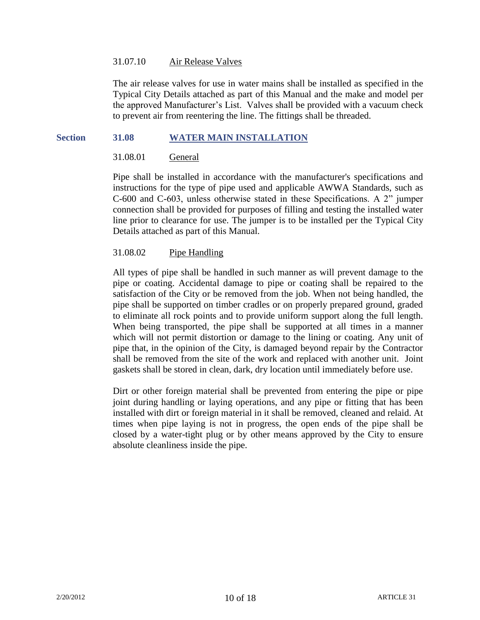#### 31.07.10 Air Release Valves

The air release valves for use in water mains shall be installed as specified in the Typical City Details attached as part of this Manual and the make and model per the approved Manufacturer's List. Valves shall be provided with a vacuum check to prevent air from reentering the line. The fittings shall be threaded.

#### **Section 31.08 WATER MAIN INSTALLATION**

## 31.08.01 General

Pipe shall be installed in accordance with the manufacturer's specifications and instructions for the type of pipe used and applicable AWWA Standards, such as C-600 and C-603, unless otherwise stated in these Specifications. A 2" jumper connection shall be provided for purposes of filling and testing the installed water line prior to clearance for use. The jumper is to be installed per the Typical City Details attached as part of this Manual.

#### 31.08.02 Pipe Handling

All types of pipe shall be handled in such manner as will prevent damage to the pipe or coating. Accidental damage to pipe or coating shall be repaired to the satisfaction of the City or be removed from the job. When not being handled, the pipe shall be supported on timber cradles or on properly prepared ground, graded to eliminate all rock points and to provide uniform support along the full length. When being transported, the pipe shall be supported at all times in a manner which will not permit distortion or damage to the lining or coating. Any unit of pipe that, in the opinion of the City, is damaged beyond repair by the Contractor shall be removed from the site of the work and replaced with another unit. Joint gaskets shall be stored in clean, dark, dry location until immediately before use.

Dirt or other foreign material shall be prevented from entering the pipe or pipe joint during handling or laying operations, and any pipe or fitting that has been installed with dirt or foreign material in it shall be removed, cleaned and relaid. At times when pipe laying is not in progress, the open ends of the pipe shall be closed by a water-tight plug or by other means approved by the City to ensure absolute cleanliness inside the pipe.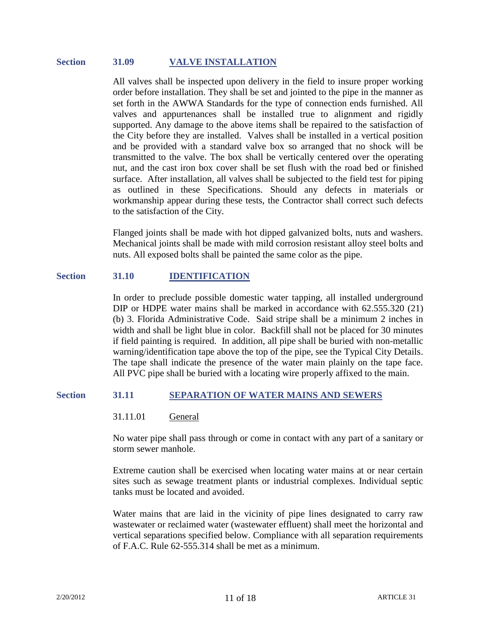#### **Section 31.09 VALVE INSTALLATION**

All valves shall be inspected upon delivery in the field to insure proper working order before installation. They shall be set and jointed to the pipe in the manner as set forth in the AWWA Standards for the type of connection ends furnished. All valves and appurtenances shall be installed true to alignment and rigidly supported. Any damage to the above items shall be repaired to the satisfaction of the City before they are installed. Valves shall be installed in a vertical position and be provided with a standard valve box so arranged that no shock will be transmitted to the valve. The box shall be vertically centered over the operating nut, and the cast iron box cover shall be set flush with the road bed or finished surface. After installation, all valves shall be subjected to the field test for piping as outlined in these Specifications. Should any defects in materials or workmanship appear during these tests, the Contractor shall correct such defects to the satisfaction of the City.

Flanged joints shall be made with hot dipped galvanized bolts, nuts and washers. Mechanical joints shall be made with mild corrosion resistant alloy steel bolts and nuts. All exposed bolts shall be painted the same color as the pipe.

#### **Section 31.10 IDENTIFICATION**

In order to preclude possible domestic water tapping, all installed underground DIP or HDPE water mains shall be marked in accordance with 62.555.320 (21) (b) 3. Florida Administrative Code. Said stripe shall be a minimum 2 inches in width and shall be light blue in color. Backfill shall not be placed for 30 minutes if field painting is required. In addition, all pipe shall be buried with non-metallic warning/identification tape above the top of the pipe, see the Typical City Details. The tape shall indicate the presence of the water main plainly on the tape face. All PVC pipe shall be buried with a locating wire properly affixed to the main.

#### **Section 31.11 SEPARATION OF WATER MAINS AND SEWERS**

#### 31.11.01 General

No water pipe shall pass through or come in contact with any part of a sanitary or storm sewer manhole.

Extreme caution shall be exercised when locating water mains at or near certain sites such as sewage treatment plants or industrial complexes. Individual septic tanks must be located and avoided.

Water mains that are laid in the vicinity of pipe lines designated to carry raw wastewater or reclaimed water (wastewater effluent) shall meet the horizontal and vertical separations specified below. Compliance with all separation requirements of F.A.C. Rule 62-555.314 shall be met as a minimum.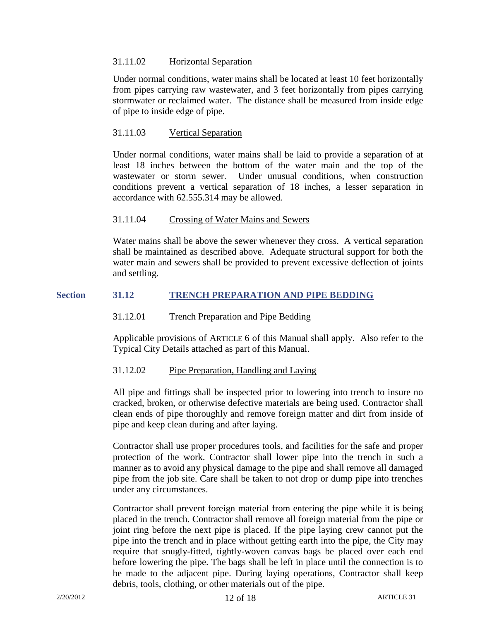# 31.11.02 Horizontal Separation

Under normal conditions, water mains shall be located at least 10 feet horizontally from pipes carrying raw wastewater, and 3 feet horizontally from pipes carrying stormwater or reclaimed water. The distance shall be measured from inside edge of pipe to inside edge of pipe.

# 31.11.03 Vertical Separation

Under normal conditions, water mains shall be laid to provide a separation of at least 18 inches between the bottom of the water main and the top of the wastewater or storm sewer. Under unusual conditions, when construction conditions prevent a vertical separation of 18 inches, a lesser separation in accordance with 62.555.314 may be allowed.

# 31.11.04 Crossing of Water Mains and Sewers

Water mains shall be above the sewer whenever they cross. A vertical separation shall be maintained as described above. Adequate structural support for both the water main and sewers shall be provided to prevent excessive deflection of joints and settling.

# **Section 31.12 TRENCH PREPARATION AND PIPE BEDDING**

# 31.12.01 Trench Preparation and Pipe Bedding

Applicable provisions of ARTICLE 6 of this Manual shall apply. Also refer to the Typical City Details attached as part of this Manual.

# 31.12.02 Pipe Preparation, Handling and Laying

All pipe and fittings shall be inspected prior to lowering into trench to insure no cracked, broken, or otherwise defective materials are being used. Contractor shall clean ends of pipe thoroughly and remove foreign matter and dirt from inside of pipe and keep clean during and after laying.

Contractor shall use proper procedures tools, and facilities for the safe and proper protection of the work. Contractor shall lower pipe into the trench in such a manner as to avoid any physical damage to the pipe and shall remove all damaged pipe from the job site. Care shall be taken to not drop or dump pipe into trenches under any circumstances.

Contractor shall prevent foreign material from entering the pipe while it is being placed in the trench. Contractor shall remove all foreign material from the pipe or joint ring before the next pipe is placed. If the pipe laying crew cannot put the pipe into the trench and in place without getting earth into the pipe, the City may require that snugly-fitted, tightly-woven canvas bags be placed over each end before lowering the pipe. The bags shall be left in place until the connection is to be made to the adjacent pipe. During laying operations, Contractor shall keep debris, tools, clothing, or other materials out of the pipe.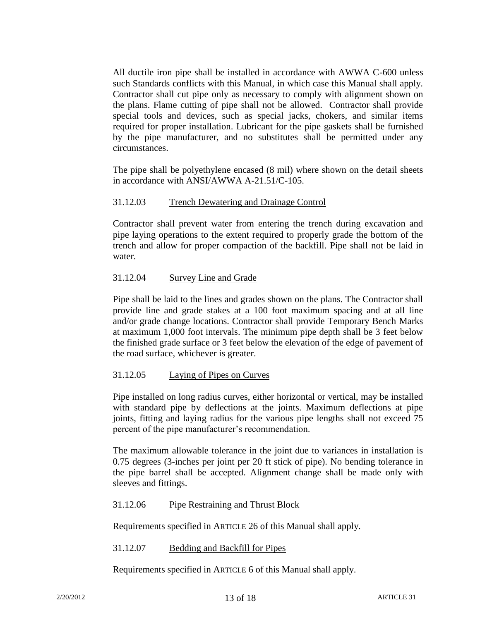All ductile iron pipe shall be installed in accordance with AWWA C-600 unless such Standards conflicts with this Manual, in which case this Manual shall apply. Contractor shall cut pipe only as necessary to comply with alignment shown on the plans. Flame cutting of pipe shall not be allowed. Contractor shall provide special tools and devices, such as special jacks, chokers, and similar items required for proper installation. Lubricant for the pipe gaskets shall be furnished by the pipe manufacturer, and no substitutes shall be permitted under any circumstances.

The pipe shall be polyethylene encased (8 mil) where shown on the detail sheets in accordance with ANSI/AWWA A-21.51/C-105.

# 31.12.03 Trench Dewatering and Drainage Control

Contractor shall prevent water from entering the trench during excavation and pipe laying operations to the extent required to properly grade the bottom of the trench and allow for proper compaction of the backfill. Pipe shall not be laid in water.

# 31.12.04 Survey Line and Grade

Pipe shall be laid to the lines and grades shown on the plans. The Contractor shall provide line and grade stakes at a 100 foot maximum spacing and at all line and/or grade change locations. Contractor shall provide Temporary Bench Marks at maximum 1,000 foot intervals. The minimum pipe depth shall be 3 feet below the finished grade surface or 3 feet below the elevation of the edge of pavement of the road surface, whichever is greater.

# 31.12.05 Laying of Pipes on Curves

Pipe installed on long radius curves, either horizontal or vertical, may be installed with standard pipe by deflections at the joints. Maximum deflections at pipe joints, fitting and laying radius for the various pipe lengths shall not exceed 75 percent of the pipe manufacturer's recommendation.

The maximum allowable tolerance in the joint due to variances in installation is 0.75 degrees (3-inches per joint per 20 ft stick of pipe). No bending tolerance in the pipe barrel shall be accepted. Alignment change shall be made only with sleeves and fittings.

# 31.12.06 Pipe Restraining and Thrust Block

Requirements specified in ARTICLE 26 of this Manual shall apply.

31.12.07 Bedding and Backfill for Pipes

Requirements specified in ARTICLE 6 of this Manual shall apply.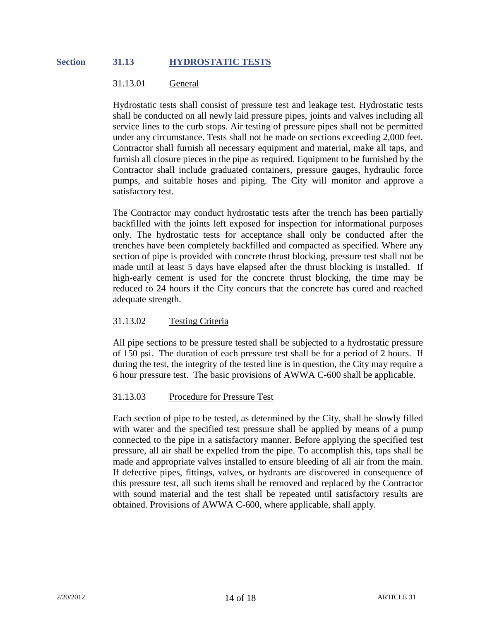#### **Section 31.13 HYDROSTATIC TESTS**

#### 31.13.01 General

Hydrostatic tests shall consist of pressure test and leakage test. Hydrostatic tests shall be conducted on all newly laid pressure pipes, joints and valves including all service lines to the curb stops. Air testing of pressure pipes shall not be permitted under any circumstance. Tests shall not be made on sections exceeding 2,000 feet. Contractor shall furnish all necessary equipment and material, make all taps, and furnish all closure pieces in the pipe as required. Equipment to be furnished by the Contractor shall include graduated containers, pressure gauges, hydraulic force pumps, and suitable hoses and piping. The City will monitor and approve a satisfactory test.

The Contractor may conduct hydrostatic tests after the trench has been partially backfilled with the joints left exposed for inspection for informational purposes only. The hydrostatic tests for acceptance shall only be conducted after the trenches have been completely backfilled and compacted as specified. Where any section of pipe is provided with concrete thrust blocking, pressure test shall not be made until at least 5 days have elapsed after the thrust blocking is installed. If high-early cement is used for the concrete thrust blocking, the time may be reduced to 24 hours if the City concurs that the concrete has cured and reached adequate strength.

# 31.13.02 Testing Criteria

All pipe sections to be pressure tested shall be subjected to a hydrostatic pressure of 150 psi. The duration of each pressure test shall be for a period of 2 hours. If during the test, the integrity of the tested line is in question, the City may require a 6 hour pressure test. The basic provisions of AWWA C-600 shall be applicable.

#### 31.13.03 Procedure for Pressure Test

Each section of pipe to be tested, as determined by the City, shall be slowly filled with water and the specified test pressure shall be applied by means of a pump connected to the pipe in a satisfactory manner. Before applying the specified test pressure, all air shall be expelled from the pipe. To accomplish this, taps shall be made and appropriate valves installed to ensure bleeding of all air from the main. If defective pipes, fittings, valves, or hydrants are discovered in consequence of this pressure test, all such items shall be removed and replaced by the Contractor with sound material and the test shall be repeated until satisfactory results are obtained. Provisions of AWWA C-600, where applicable, shall apply.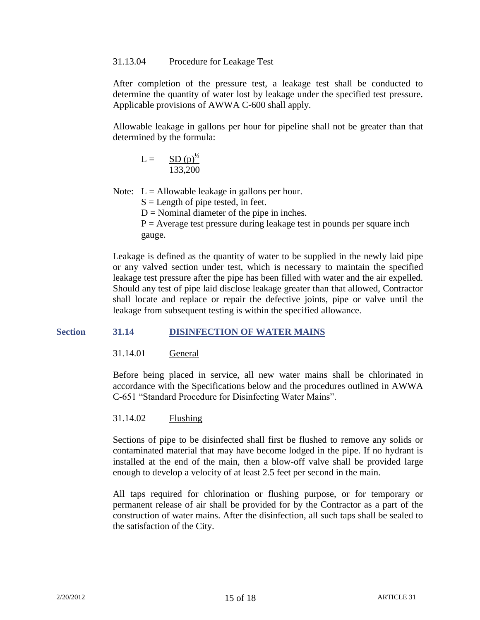#### 31.13.04 Procedure for Leakage Test

After completion of the pressure test, a leakage test shall be conducted to determine the quantity of water lost by leakage under the specified test pressure. Applicable provisions of AWWA C-600 shall apply.

Allowable leakage in gallons per hour for pipeline shall not be greater than that determined by the formula:

$$
L = \frac{SD(p)^{1/2}}{133,200}
$$

Note:  $L =$  Allowable leakage in gallons per hour.

 $S =$ Length of pipe tested, in feet.

 $D =$  Nominal diameter of the pipe in inches.

 $P =$  Average test pressure during leakage test in pounds per square inch gauge.

Leakage is defined as the quantity of water to be supplied in the newly laid pipe or any valved section under test, which is necessary to maintain the specified leakage test pressure after the pipe has been filled with water and the air expelled. Should any test of pipe laid disclose leakage greater than that allowed, Contractor shall locate and replace or repair the defective joints, pipe or valve until the leakage from subsequent testing is within the specified allowance.

# **Section 31.14 DISINFECTION OF WATER MAINS**

31.14.01 General

Before being placed in service, all new water mains shall be chlorinated in accordance with the Specifications below and the procedures outlined in AWWA C-651 "Standard Procedure for Disinfecting Water Mains".

# 31.14.02 Flushing

Sections of pipe to be disinfected shall first be flushed to remove any solids or contaminated material that may have become lodged in the pipe. If no hydrant is installed at the end of the main, then a blow-off valve shall be provided large enough to develop a velocity of at least 2.5 feet per second in the main.

All taps required for chlorination or flushing purpose, or for temporary or permanent release of air shall be provided for by the Contractor as a part of the construction of water mains. After the disinfection, all such taps shall be sealed to the satisfaction of the City.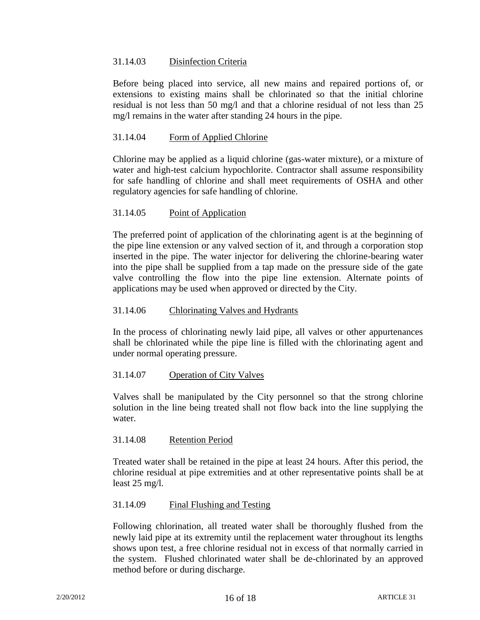# 31.14.03 Disinfection Criteria

Before being placed into service, all new mains and repaired portions of, or extensions to existing mains shall be chlorinated so that the initial chlorine residual is not less than 50 mg/l and that a chlorine residual of not less than 25 mg/l remains in the water after standing 24 hours in the pipe.

# 31.14.04 Form of Applied Chlorine

Chlorine may be applied as a liquid chlorine (gas-water mixture), or a mixture of water and high-test calcium hypochlorite. Contractor shall assume responsibility for safe handling of chlorine and shall meet requirements of OSHA and other regulatory agencies for safe handling of chlorine.

# 31.14.05 Point of Application

The preferred point of application of the chlorinating agent is at the beginning of the pipe line extension or any valved section of it, and through a corporation stop inserted in the pipe. The water injector for delivering the chlorine-bearing water into the pipe shall be supplied from a tap made on the pressure side of the gate valve controlling the flow into the pipe line extension. Alternate points of applications may be used when approved or directed by the City.

# 31.14.06 Chlorinating Valves and Hydrants

In the process of chlorinating newly laid pipe, all valves or other appurtenances shall be chlorinated while the pipe line is filled with the chlorinating agent and under normal operating pressure.

# 31.14.07 Operation of City Valves

Valves shall be manipulated by the City personnel so that the strong chlorine solution in the line being treated shall not flow back into the line supplying the water.

# 31.14.08 Retention Period

Treated water shall be retained in the pipe at least 24 hours. After this period, the chlorine residual at pipe extremities and at other representative points shall be at least 25 mg/l.

# 31.14.09 Final Flushing and Testing

Following chlorination, all treated water shall be thoroughly flushed from the newly laid pipe at its extremity until the replacement water throughout its lengths shows upon test, a free chlorine residual not in excess of that normally carried in the system. Flushed chlorinated water shall be de-chlorinated by an approved method before or during discharge.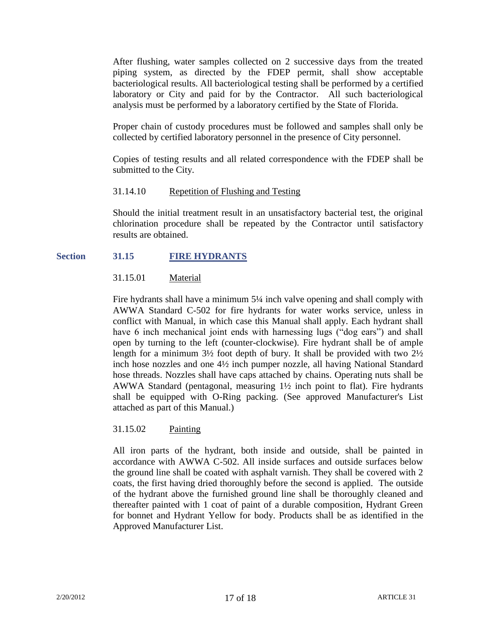After flushing, water samples collected on 2 successive days from the treated piping system, as directed by the FDEP permit, shall show acceptable bacteriological results. All bacteriological testing shall be performed by a certified laboratory or City and paid for by the Contractor. All such bacteriological analysis must be performed by a laboratory certified by the State of Florida.

Proper chain of custody procedures must be followed and samples shall only be collected by certified laboratory personnel in the presence of City personnel.

Copies of testing results and all related correspondence with the FDEP shall be submitted to the City.

# 31.14.10 Repetition of Flushing and Testing

Should the initial treatment result in an unsatisfactory bacterial test, the original chlorination procedure shall be repeated by the Contractor until satisfactory results are obtained.

#### **Section 31.15 FIRE HYDRANTS**

# 31.15.01 Material

Fire hydrants shall have a minimum 5¼ inch valve opening and shall comply with AWWA Standard C-502 for fire hydrants for water works service, unless in conflict with Manual, in which case this Manual shall apply. Each hydrant shall have 6 inch mechanical joint ends with harnessing lugs ("dog ears") and shall open by turning to the left (counter-clockwise). Fire hydrant shall be of ample length for a minimum  $3\frac{1}{2}$  foot depth of bury. It shall be provided with two  $2\frac{1}{2}$ inch hose nozzles and one 4½ inch pumper nozzle, all having National Standard hose threads. Nozzles shall have caps attached by chains. Operating nuts shall be AWWA Standard (pentagonal, measuring 1½ inch point to flat). Fire hydrants shall be equipped with O-Ring packing. (See approved Manufacturer's List attached as part of this Manual.)

# 31.15.02 Painting

All iron parts of the hydrant, both inside and outside, shall be painted in accordance with AWWA C-502. All inside surfaces and outside surfaces below the ground line shall be coated with asphalt varnish. They shall be covered with 2 coats, the first having dried thoroughly before the second is applied. The outside of the hydrant above the furnished ground line shall be thoroughly cleaned and thereafter painted with 1 coat of paint of a durable composition, Hydrant Green for bonnet and Hydrant Yellow for body. Products shall be as identified in the Approved Manufacturer List.